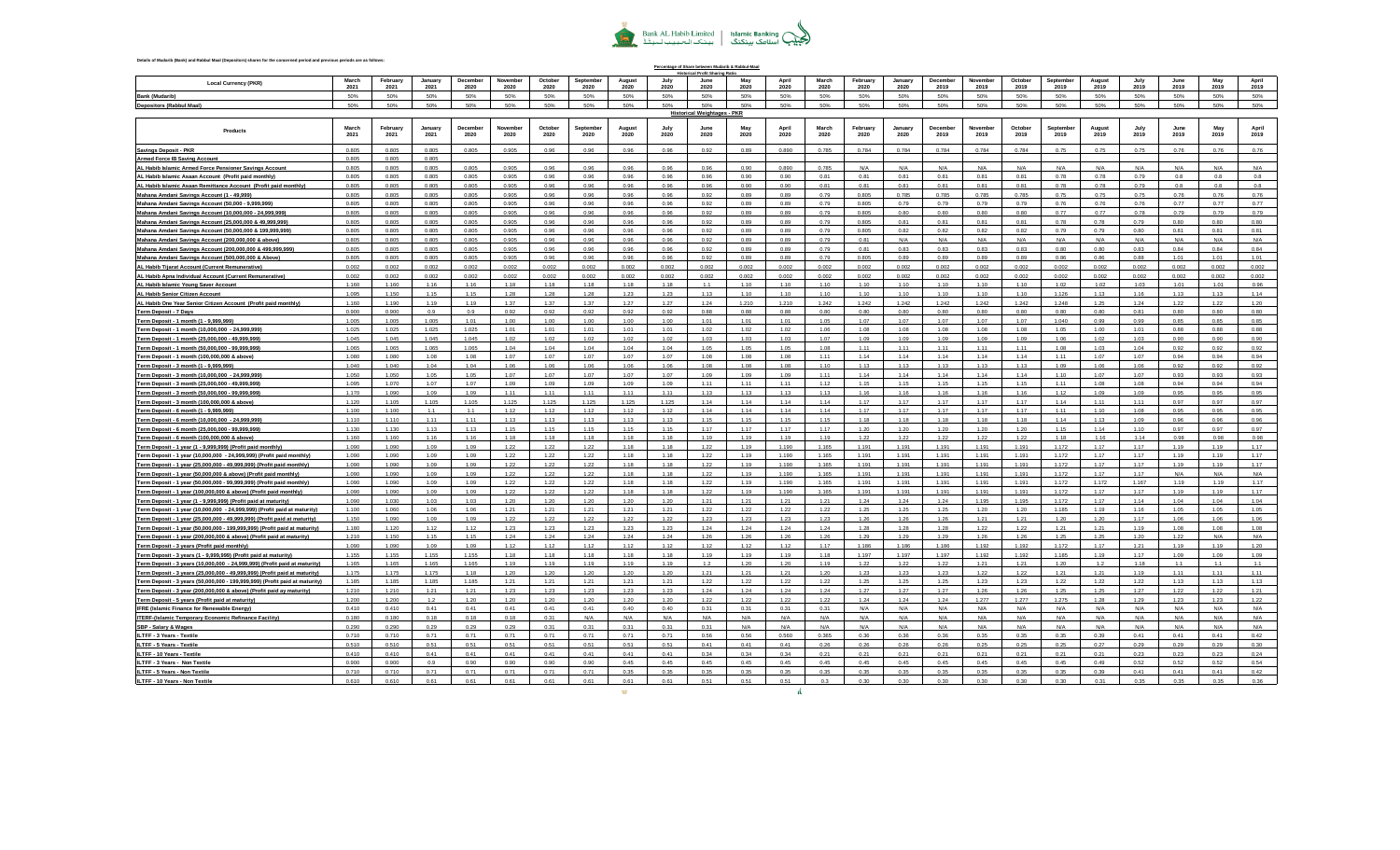

**Percentage of Share between Mudarib & Rabbul-Maal**

## **Details of Mudarib (Bank) and Rabbul Maal (Depositors) shares for the concerned period and previous periods are as follows:**

| <b>Local Currency (PKR</b>                                                                                                                   | March<br>2021  | February<br>2021 | January<br>2021 | December<br>2020 | November<br>2020 | October<br>2020 | Septembe<br>2020 | August<br>2020 | July<br>2020  | June<br>2020                       | May<br>2020   | April<br>2020 | March<br>2020 | February<br>2020 | January<br>2020 | December<br>2019 | November<br>2019 | October<br>2019 | September<br>2019 | August<br>2019 | July<br>2019 | June<br>2019   | May<br>2019    | April<br>2019 |
|----------------------------------------------------------------------------------------------------------------------------------------------|----------------|------------------|-----------------|------------------|------------------|-----------------|------------------|----------------|---------------|------------------------------------|---------------|---------------|---------------|------------------|-----------------|------------------|------------------|-----------------|-------------------|----------------|--------------|----------------|----------------|---------------|
| Bank (Mudarit                                                                                                                                | 50%            | 50%              | 50%             | 50%              | 50%              | 50%             | 50%              | 50%            | 50%           |                                    | 50%           | 50%           | 50%           | 50%              | 50%             | 50%              | 50%              | 50%             | 50%               | 50%            | 50%          | 50%            | 50%            | 50%           |
| <b>Depositors (Rabbul Maal)</b>                                                                                                              | 50%            | 50%              | 50%             | 50%              | 50%              | 50%             | 50%              | 50%            | 50%           | 50%                                | 50%           | 50%           | 50%           | 50%              | 50%             | 50%              | 50%              | 50%             | 50%               | 50%            | 50%          | 50%            | 50%            | 50%           |
|                                                                                                                                              |                |                  |                 |                  |                  |                 |                  |                |               | <b>Historical Weightages - PKR</b> |               |               |               |                  |                 |                  |                  |                 |                   |                |              |                |                |               |
| Products                                                                                                                                     | March          | February         | January         | Decembe          | Novembe          | October         | Septembe         | Augus          |               |                                    |               | Anril         | March         | February         | Januar          | Decembe          | Novembe          | October         | Septembe          | August         |              |                |                |               |
|                                                                                                                                              | 2021           | 2021             | 2021            | 2020             | 2020             | 2020            | 2020             | 2020           | 2020          | 2020                               | 2020          | 2020          | 2020          | 2020             | 2020            | 2019             | 2019             | 2019            | 2019              | 2019           | 2019         | 2019           | 2019           | 2019          |
| <b>Savings Deposit - PKR</b>                                                                                                                 | 0.805          | 0.805            | 0.805           | 0.805            | 0.905            | 0.96            | 0.96             | 0.96           | 0.96          | 0.92                               | 0.89          | 0.890         | 0.785         | 0.784            | 0.784           | 0.784            | 0.784            | 0.784           | 0.75              | 0.75           | 0.75         | 0.76           | 0.76           | 0.76          |
| <b>Armed Force IB Saving Account</b>                                                                                                         | 0.805          | 0.805            | 0.805           |                  |                  |                 |                  |                |               |                                    |               |               |               |                  |                 |                  |                  |                 |                   |                |              |                |                |               |
| AL Habib Islamic Armed Force Pensioner Savings Account                                                                                       | 0.805          | 0.805            | 0.805           | 0.805            | 0.905            | 0.96            | 0.96             | 0.96           | 0.96          | 0.96                               | 0.90          | 0.890         | 0.785         | N/A              | N/A             | N/A              | N/A              | N/A             | N/A               | N/A            | N/A          | N/A            | N/A            | N/A           |
| AL Habib Islamic Asaan Account (Profit paid monthly)                                                                                         | 0.805          | 0.805            | 0.805           | 0.805            | 0.905            | 0.96            | 0.96             | 0.96           | 0.96          | 0.96                               | n on          | n an          | 0.81          | 0.81             | 0.81            | 0.81             | O <sub>R</sub>   | 0.81            | 0.78              | 0.78           | 0.79         | O <sub>R</sub> | O <sub>R</sub> | 0.8           |
| AL Habib Islamic Asaan Remittance Account (Profit paid monthly)                                                                              | 0.805          | 0.805            | 0.805           | 0.805            | 0.905            | 0.96            | 0.96             | 0.96           | 0.96          | 0.96                               | 0.90          | 0.90          | 0.81          | 0.81             | 0.81            | 0.81             | $0.8^{\circ}$    | 0.81            | 0.78              | 0.78           | 0.79         | 0.8            | 0.8            | 0.8           |
| Mahana Amdani Savings Account (1 - 49,999)<br>Mahana Amdani Savings Account (50,000 - 9,999,999)                                             | 0.805<br>0.805 | 0.805<br>0.805   | 0.805<br>0.805  | 0.805<br>0.805   | 0.905<br>0.905   | 0.96<br>0.96    | 0.96<br>0.96     | 0.96<br>0.96   | 0.96<br>0.96  | 0.92<br>0.92                       | 0.89<br>0.89  | 0.89<br>0.89  | 0.79<br>0.79  | 0.805<br>0.805   | 0.785<br>0.79   | 0.785<br>0.79    | 0.785<br>0.79    | 0.785<br>0.79   | 0.75<br>0.76      | 0.75<br>0.76   | 0.75<br>0.76 | 0.76<br>0.77   | 0.76<br>0.77   | 0.76<br>0.77  |
| Mahana Amdani Savings Account (10,000,000 - 24,999,999)                                                                                      | 0.805          | 0.805            | 0.805           | 0.805            | 0.905            | 0.96            | 0.96             | 0.96           | 0.96          | 0.92                               | 0.89          | 0.89          | 0.79          | 0.805            | 0.80            | 0.80             | 0.80             | 0.80            | 0.77              | 0.77           | 0.78         | 0.79           | 0.79           | 0.79          |
| Mahana Amdani Savings Account (25,000,000 & 49,999,999)                                                                                      | 0.805          | 0.805            | 0.805           | 0.805            | 0.905            | 0.96            | 0.96             | 0.96           | 0.96          | 0.92                               | 0.89          | 0.89          | 0.79          | 0.805            | 0.81            | 0.81             | 0.81             | 0.81            | 0.78              | 0.78           | 0.79         | 0.80           | 0.80           | 0.80          |
| Mahana Amdani Savings Account (50,000,000 & 199,999,999)                                                                                     | 0.805          | 0.805            | 0.805           | 0.805            | 0.905            | 0.96            | 0.96             | 0.96           | 0.96          | 0.92                               | 0.89          | 0.89          | 0.79          | 0.805            | 0.82            | 0.82             | 0.82             | 0.82            | 0.79              | 0.79           | 0.80         | 0.81           | 0.81           | 0.81          |
| Mahana Amdani Savings Account (200,000,000 & above)                                                                                          | 0.805          | 0.805            | 0.805           | 0.805            | 0.905            | 0.96            | 0.96             | 0.96           | 0.96          | 0.92                               | 0.89          | 0.89          | 0.79          | 0.81             | N/A             | N/A              | N/A              | N/A             | N/A               | N/A            | N/A          | N/A            | N/A            | N/A           |
| Mahana Amdani Savings Account (200,000,000 & 499,999,999)                                                                                    | 0.805          | 0.805            | 0.805           | 0.805            | 0.905            | 0.96            | 0.96             | 0.96           | 0.96          | 0.92                               | 0.89          | 0.89          | 0.79          | 0.81             | 0.83            | 0.83             | 0.83             | 0.83            | 0.80              | 0.80           | 0.83         | 0.84           | 0.84           | 0.84          |
| Mahana Amdani Savings Account (500,000,000 & Above)                                                                                          | 0.805          | 0.805            | 0.805           | 0.805            | 0.905            | 0.96            | 0.96             | 0.96           | 0.96          | 0.92                               | 0.89          | 0.89          | 0.79          | 0.805            | 0.89            | 0.89             | 0.89             | 0.89            | 0.86              | 0.86           | 0.88         | 1.01           | 1.01           | 1.01          |
| AL Habib Tijarat Account (Current Remunerative)                                                                                              | 0.002          | 0.002            | 0.002           | 0.002            | 0.002            | 0.002           | 0.002            | 0.002          | 0.002         | 0.002                              | 0.002         | 0.002         | 0.002         | 0.002            | 0.002           | 0.002            | 0.002            | 0.002           | 0.002             | 0.002          | 0.002        | 0.002          | 0.002          | 0.002         |
| AL Habib Apna Individual Account (Current Remunerative)                                                                                      | 0.002          | 0.002            | 0.002           | 0.002            | 0.002            | 0.002           | 0.002            | 0.002          | 0.002         | 0.002                              | 0.002         | 0.002         | 0.002         | 0.002            | 0.002           | 0.002            | 0.002            | 0.002           | 0.002             | 0.002          | 0.002        | 0.002          | 0.002          | 0.002         |
| AL Habib Islamic Young Saver Account                                                                                                         | 1.160          | 1.160            | 1.16            | 1.16             | 1.18             | 1.18            | 1.18             | 1.18           | 1.18          | 1.1                                | 1.10          | 1.10          | 1.10          | 1.10             | 1.10            | 1.10             | 1.10             | 1.10            | 1.02              | 1.02           | 1.03         | 1.01           | 1.01           | 0.96          |
| AL Habib Senior Citizen Account                                                                                                              | 1.095<br>1.160 | 1.150<br>1.190   | 1.15<br>1.19    | 1.15<br>1.19     | 1.28<br>1.37     | 1.28<br>1.37    | 1.28<br>1.37     | 1.23<br>1.27   | 1.23<br>1.27  | 1.13<br>1.24                       | 1.10<br>1.210 | 1.10<br>1.210 | 1.10<br>1.242 | 1.10<br>1.242    | 1.10<br>1.242   | 1.10<br>1.242    | 1.10<br>1.242    | 1.10<br>1.242   | 1.126<br>1.248    | 1.13<br>1.25   | 1.16<br>1.24 | 1.13<br>1.22   | 1.13<br>1.22   | 1.14<br>1.20  |
| AL Habib One Year Senior Citizen Account (Profit paid monthly)<br>Term Deposit - 7 Days                                                      | 0.900          | 0.900            | 0.9             | 0.9              | 0.92             | 0.92            | 0.92             | 0.92           | 0.92          | 0.88                               | 0.88          | 0.88          | 0.80          | 0.80             | 0.80            | 0.80             | 0.80             | 0.80            | 0.80              | 0.80           | 0.81         | 0.80           | 0.80           | 0.80          |
| Term Deposit - 1 month (1 - 9,999,999)                                                                                                       | 1.005          | 1.005            | 1.005           | 1.01             | 1.00             | 1.00            | 1.00             | 1.00           | 1.00          | 1.01                               | 1.01          | 1.01          | 1.05          | 1.07             | 1.07            | 1.07             | 1.07             | 1.07            | 1.040             | 0.99           | 0.99         | 0.85           | 0.85           | 0.85          |
| Term Deposit - 1 month (10,000,000 - 24,999,999)                                                                                             | 1.025          | 1.025            | 1.025           | 1.025            | 1.01             | 1.01            | 1.01             | 1.01           | 1.01          | 1.02                               | 1.02          | 1.02          | 1.06          | 1.08             | 1.08            | 1.08             | 1.08             | 1.08            | 1.05              | 1.00           | 1.01         | 0.88           | 0.88           | 0.88          |
| Term Deposit - 1 month (25,000,000 - 49,999,999)                                                                                             | 1.045          | 1.045            | 1.045           | 1.045            | 1.02             | 1.02            | 1.02             | 1.02           | 1.02          | 1.03                               | 1.03          | 1.03          | 1.07          | 1.09             | 1.09            | 1.09             | 1.09             | 1.09            | 1.06              | 1.02           | 1.03         | 0.90           | 0.90           | 0.90          |
| Term Deposit - 1 month (50,000,000 - 99,999,999)                                                                                             | 1.065          | 1.065            | 1.065           | 1.065            | 1.04             | 1.04            | 1.04             | 1.04           | 1.04          | 1.05                               | 1.05          | 1.05          | 1.08          | 1.11             | 1.11            | 1.11             | 1.11             | 1.11            | 1.08              | 1.03           | 1.04         | 0.92           | 0.92           | 0.92          |
| Term Deposit - 1 month (100,000,000 & above)                                                                                                 | 1.080          | 1.080            | 1.08            | 1.08             | 1.07             | 1.07            | 1.07             | 1.07           | 1.07          | 1.08                               | 1.08          | 1.08          | 1.11          | 1.14             | 1.14            | 1.14             | 1.14             | 1.14            | 1.11              | 1.07           | 1.07         | 0.94           | 0.94           | 0.94          |
| Term Deposit - 3 month (1 - 9,999,99!                                                                                                        | 1.040          | 1.040            | 1.04            | 1.04             | 1.06             | 1.06            | 1.06             | 1.06           | 1.06          | 1.08                               | 1.08          | 1.08          | 1.10          | 1.13             | 1.13            | 1.13             | 1.13             | 1.13            | 1.09              | 1.06           | 1.06         | 0.92           | 0.92           | 0.92          |
| Term Deposit - 3 month (10,000,000 - 24,999,999)                                                                                             | 1.050          | 1.050            | 1.05            | 1.05             | 1.07             | 1.07            | 1.07             | 1.07           | 1.07          | 1.09                               | 1.09          | 1.09          | 1.11          | 1.14             | 1.14            | 1.14             | 1.14             | 1.14            | 1.10              | 1.07           | 1.07         | 0.93           | 0.93           | 0.93          |
| Term Deposit - 3 month (25,000,000 - 49,999,999)                                                                                             | 1.095          | 1.070            | 1.07            | 1.07             | 1.09             | 1.09            | 1.09             | 1.09           | 1.09          | 1.11                               | 1.11          | 1.11          | 1.12          | 1.15             | 1.15            | 1.15             | 1.15             | 1.15            | 1.11              | 1.08           | 1.08         | 0.94           | 0.94           | 0.94          |
| Term Deposit - 3 month (50,000,000 - 99,999,999)                                                                                             | 1.170<br>1.120 | 1.090<br>1.105   | 1.09<br>1.105   | 1.09<br>1.105    | 1.11<br>1.125    | 1.11<br>1.125   | 1.11<br>1.125    | 1.11<br>1.125  | 1.11<br>1.125 | 1.13<br>1.14                       | 1.13<br>1.14  | 1.13<br>1.14  | 1.13<br>1 14  | 1.16<br>1.17     | 1.16<br>1.17    | 1.16<br>1.17     | 1.16<br>1.17     | 1.16<br>1 17    | 1.12<br>1.14      | 1.09<br>1.11   | 1.09<br>1.11 | 0.95<br>0.97   | 0.95<br>0.97   | 0.95<br>0.97  |
| Term Deposit - 3 month (100,000,000 & above)<br>Term Deposit - 6 month (1 - 9.999.999)                                                       | 1.100          | 1.100            | 1.1             | 1.1              | 1.12             | 1.12            | 1.12             | 1.12           | 1.12          | 1.14                               | 1.14          | 1.14          | 1.14          | 1.17             | 1.17            | 1.17             | 1.17             | 1.17            | 1.11              | 1.10           | 1.08         | 0.95           | 0.95           | 0.95          |
| Term Deposit - 6 month (10,000,000 - 24,999,999)                                                                                             | 1.110          | 1.110            | 1.11            | 1.11             | 1.13             | 1.13            | 1.13             | 1.13           | 1.13          | 1.15                               | 1.15          | 1.15          | 1.15          | 1.18             | 1.18            | 1.18             | 1.18             | 1.18            | 1.14              | 1.13           | 1.09         | 0.96           | 0.96           | 0.96          |
| Term Deposit - 6 month (25,000,000 - 99,999,999)                                                                                             | 1.130          | 1.130            | 1.13            | 1.13             | 1.15             | 1.15            | 1.15             | 1.15           | 1.15          | 1.17                               | 1.17          | 1.17          | 1 17          | 1.20             | 1.20            | 1.20             | 1.20             | 1.20            | 1.15              | 1.14           | 1.10         | 0.97           | 0.97           | 0.97          |
| <u>Term Deposit - 6 month (100,000,000 &amp; above)</u>                                                                                      | 1.160          | 1.160            | 1.16            | 1.16             | 1.18             | 1.18            | 1.18             | 1.18           | 1.18          | 1.19                               | 1.19          | 1.19          | 1.19          | 1.22             | 1.22            | 1.22             | 1.22             | 1.22            | 1.18              | 1.16           | 1.14         | 0.98           | 0.98           | 0.98          |
| Term Deposit - 1 year (1 - 9,999,999) (Profit paid monthly)                                                                                  | 1.090          | 1.090            | 1.09            | 1.09             | 1.22             | 1.22            | 1.22             | 1.18           | 1.18          | 1.22                               | 1.19          | 1.190         | 1.165         | 1.191            | 1.191           | 1.191            | 1.191            | 1.191           | 1.172             | 1.17           | 1.17         | 1.19           | 1.19           | 1.17          |
| Term Deposit - 1 year (10,000,000 - 24,999,999) (Profit paid monthly)                                                                        | 1.090          | 1.090            | 1.09            | 1.09             | 1.22             | 1.22            | 1.22             | 1.18           | 1.18          | 1.22                               | 1.19          | 1.190         | 1.165         | 1.191            | 1.191           | 1.191            | 1.191            | 1.191           | 1.172             | 1.17           | 1.17         | 1.19           | 1.19           | 1.17          |
| Term Deposit - 1 year (25,000,000 - 49,999,999) (Profit paid monthly)                                                                        | 1.090          | 1.090            | 1.09            | 1.09             | 1.22             | 1.22            | 1.22             | 1.18           | 1.18          | 1.22                               | 1.19          | 1.190         | 1.165         | 1.191            | 1.191           | 1.191            | 1.191            | 1.191           | 1.172             | 1.17           | 1.17         | 1.19           | 1.19           | 1.17          |
| Term Deposit - 1 year (50,000,000 & above) (Profit paid monthly)                                                                             | 1.090          | 1.090            | 1.09            | 1.09             | 1.22             | 1.22            | 1.22             | 1.18           | 1.18          | 1.22                               | 1.19          | 1.190         | 1.165         | 1.191            | 1.191           | 1.191            | 1.191            | 1.191           | 1.172             | 1.17           | 1.17         | N/A            | N/A            | N/A           |
| Term Deposit - 1 year (50,000,000 - 99,999,999) (Profit paid monthly)                                                                        | 1.090          | 1.090            | 1.09            | 1.09             | 1.22             | 1.22            | 1.22             | 1 1 8          | 1 1 8         | 1.22                               | 1 1 9         | 1.190         | 1.165         | 1.191            | 1 1 9 1         | 1.191            | 1 1 0 1          | 1.191           | 1.172             | 1 172          | 1.167        | 1 1 0          | 1.19           | 1.17          |
| Term Deposit - 1 year (100,000,000 & above) (Profit paid monthly)                                                                            | 1.090<br>1.090 | 1.090<br>1.030   | 1.09<br>1.03    | 1.09<br>1.03     | 1.22<br>1.20     | 1.22<br>1.20    | 1.22<br>1.20     | 1.18<br>1.20   | 1.18<br>1.20  | 1.22<br>1.21                       | 1.19<br>1.21  | 1.190<br>1.21 | 1.165<br>1.21 | 1.191<br>1.24    | 1.191<br>1.24   | 1.191<br>1.24    | 1.191<br>1.195   | 1.191<br>1.195  | 1.172<br>1.172    | 1.17<br>1.17   | 1.17<br>1.14 | 1.19<br>1.04   | 1.19<br>1.04   | 1.17<br>1.04  |
| Term Deposit - 1 year (1 - 9,999,999) (Profit paid at maturity)<br>Term Deposit - 1 year (10,000,000 - 24,999,999) (Profit paid at maturity) | 1.100          | 1.060            | 1.06            | 1.06             | 1.21             | 1.21            | 1.21             | 1.21           | 1.21          | 1.22                               | 1.22          | 1.22          | 1.22          | 1.25             | 1.25            | 1.25             | 1.20             | 1.20            | 1.185             | 1.19           | 1.16         | 1.05           | 1.05           | 1.05          |
| Term Deposit - 1 year (25,000,000 - 49,999,999) (Profit paid at maturity)                                                                    | 1.150          | 1.090            | 1.09            | 1.09             | 1.22             | 1.22            | 1.22             | 1.22           | 1.22          | 1.23                               | 1.23          | 1.23          | 1.23          | 1.26             | 1.26            | 1.26             | 1.21             | 1.21            | 1.20              | 1.20           | 1.17         | 1.06           | 1.06           | 1.06          |
| Term Deposit - 1 year (50,000,000 - 199,999,999) (Profit paid at maturity)                                                                   | 1.180          | 1.120            | 1.12            | 1.12             | 1.23             | 1.23            | 1.23             | 1.23           | 1.23          | 1.24                               | 1.24          | 1.24          | 1.24          | 1.28             | 1.28            | 1.28             | 1.22             | 1.22            | 1.21              | 1.21           | 1.19         | 1.08           | 1.08           | 1.08          |
| Term Deposit - 1 year (200,000,000 & above) (Profit paid at maturity)                                                                        | 1.210          | 1.150            | 1.15            | 1.15             | 1.24             | 1.24            | 1.24             | 1.24           | 1.24          | 1.26                               | 1.26          | 1.26          | 1.26          | 1.29             | 1.29            | 1.29             | 1.26             | 1.26            | 1.25              | 1.25           | 1.20         | 1.22           | N/A            | N/A           |
| Term Deposit - 3 years (Profit paid monthly)                                                                                                 | 1.090          | 1.090            | 1.09            | 1.09             | 1.12             | 1.12            | 1.12             | 1.12           | 1.12          | 1.12                               | 1.12          | 1.12          | 1.17          | 1.186            | 1.186           | 1.186            | 1.192            | 1.192           | 1.172             | 1.17           | 1.21         | 1.19           | 1.19           | 1.20          |
| Term Deposit - 3 years (1 - 9,999,999) (Profit paid at maturity)                                                                             | 1.155          | 1.155            | 1.155           | 1.155            | 1.18             | 1.18            | 1.18             | 1.18           | 1.18          | 1.19                               | 1.19          | 1.19          | 1.18          | 1.197            | 1.197           | 1.197            | 1.192            | 1.192           | 1.185             | 1.19           | 1.17         | 1.09           | 1.09           | 1.09          |
| Term Deposit - 3 years (10,000,000 - 24,999,999) (Profit paid at maturity)                                                                   | 1.165          | 1.165            | 1.165           | 1.165            | 1.19             | 1.19            | 1.19             | 1.19           | 1.19          | 1.2                                | 1.20          | 1.20          | 1.19          | 1.22             | 1.22            | 1.22             | 1.21             | 1.21            | 1.20              | 1.2            | 1.18         | 1.1            | 1.1            | 1.1           |
| Term Deposit - 3 years (25,000,000 - 49,999,999) (Profit paid at maturity)                                                                   | 1 1 7 5        | 1 175            | 1.175           | 1 1 8            | 1.20             | 120             | 1.20             | 1.20           | 1.20          | 1.21                               | 1 21          | 1.21          | 1.20          | 1.23             | 1.23            | 1.23             | 1.22             | 1 22            | 1.21              | 1.21           | 110          | 1.11           | 1.11           | 1.11          |
| Term Deposit - 3 years (50,000,000 - 199,999,999) (Profit paid at maturity)                                                                  | 1.185          | 1.185            | 1.185           | 1.185            | 1.21             | 1.21            | 1.21             | 1.21           | 1.21          | 1.22                               | 1.22          | 1.22          | 1.22          | 1.25             | 1.25            | 1.25             | 1.23             | 1.23            | 1.22              | 1.22           | 1.22         | 1.13           | 1.13           | 1.13          |
| Term Deposit - 3 year (200,000,000 & above) (Profit paid ay maturity)                                                                        | 1.210          | 1.210            | 1.21            | 1.21             | 1.23             | 1.23            | 1.23             | 1.23           | 1.23          | 1.24                               | 1.24          | 1.24          | 1.24          | 1.27             | 1.27            | 1.27             | 1.26             | 1.26            | 1.25              | 1.25           | 1.27         | 1.22           | 1.22           | 1.21          |
| Term Deposit - 5 years (Profit paid at maturity)                                                                                             | 1.200<br>0.410 | 1.200<br>0.410   | 1.2<br>0.41     | 1.20<br>0.41     | 1.20<br>0.41     | 1.20<br>0.41    | 1.20<br>0.41     | 1.20<br>0.40   | 1.20<br>0.40  | 1.22<br>0.31                       | 1.22<br>0.31  | 1.22<br>0.31  | 1.22<br>0.31  | 1.24<br>N/A      | 1.24<br>N/A     | 1.24<br>N/A      | 1.277<br>N/A     | 1.277<br>N/A    | 1.275<br>N/A      | 1.28<br>N/A    | 1.29<br>N/A  | 1.23<br>N/A    | 1.23<br>N/A    | 1.22<br>N/A   |
| <b>IFRE (Islamic Finance for Renewable Energy)</b><br>ITERF-(Islamic Temporary Economic Refinance Facility)                                  | 0.180          | 0.180            | 0.18            | 0.18             | 0.18             | 0.31            | N/A              | N/A            | N/A           | N/A                                | N/A           | N/A           | N/A           | N/A              | N/A             | N/A              | N/L              | N/A             | N/A               | N/A            | N/A          | N/A            | N/A            | N/A           |
| SBP - Salary & Wages                                                                                                                         | 0.290          | 0.290            | 0.29            | 0.29             | 0.29             | 0.31            | 0.31             | $0.3^{\circ}$  | 0.31          | 0.31                               | N/A           | N/A           | N/A           | N/A              | N/A             | N/A              | N/A              | N/A             | N/A               | N/A            | N/A          | N/A            | N/A            | N/A           |
| ILTFF - 3 Years - Textile                                                                                                                    | 0.710          | 0.710            | 0.71            | 0.71             | 0.71             | 0.71            | 0.71             | 0.71           | 0.71          | 0.56                               | 0.56          | 0.560         | 0.365         | 0.36             | 0.36            | 0.36             | 0.35             | 0.35            | 0.35              | 0.39           | 0.41         | 0.41           | 0.41           | 0.42          |
| ILTFF - 5 Years - Textile                                                                                                                    | 0.510          | 0.510            | 0.51            | 0.51             | 0.51             | 0.51            | 0.51             | 0.51           | 0.51          | 0.41                               | 0.41          | 0.41          | 0.26          | 0.26             | 0.26            | 0.26             | 0.25             | 0.25            | 0.25              | 0.27           | 0.29         | 0.29           | 0.29           | 0.30          |
| ILTFF - 10 Years - Textile                                                                                                                   | 0.410          | 0.410            | 0.41            | 0.41             | 0.41             | 0.41            | 0.41             | 0.41           | 0.41          | 0.34                               | 0.34          | 0.34          | 0.21          | 0.21             | 0.21            | 0.21             | 0.21             | 0.21            | 0.21              | 0.21           | 0.23         | 0.23           | 0.23           | 0.24          |
| ILTFF - 3 Years - Non Textile                                                                                                                | 0.900          | 0.900            | 0.9             | n an             | n on             | n an            | 0.90             | 0.45           | 0.45          | 0.45                               | 0.45          | 0.45          | 0.45          | 0.45             | 0.45            | 0.45             | 0.45             | 0.45            | 0.45              | 0.49           | 0.52         | Q 52           | 0.52           | 0.54          |
| ILTFF - 5 Years - Non Textile                                                                                                                | 0.710          | 0.710            | 0.71            | 0.71             | 0.71             | 0.71            | 0.71             | 0.35           | 0.35          | 0.35                               | 0.35          | 0.35          | 0.35          | 0.35             | 0.35            | 0.35             | 0.35             | 0.35            | 0.35              | 0.39           | 0.41         | 0.41           | 0.41           | 0.42          |
| ILTFF - 10 Years - Non Textile                                                                                                               | 0.610          | 0.610            | 0.61            | 0.61             | 0.61             | 0.61            | 0.61             | 0.61           | 0.61          | 0.51                               | 0.51          | 0.51          | 0.3           | 0.30             | 0.30            | 0.30             | 0.30             | 0.30            | 0.30              | 0.31           | 0.35         | 0.35           | 0.35           | 0.36          |